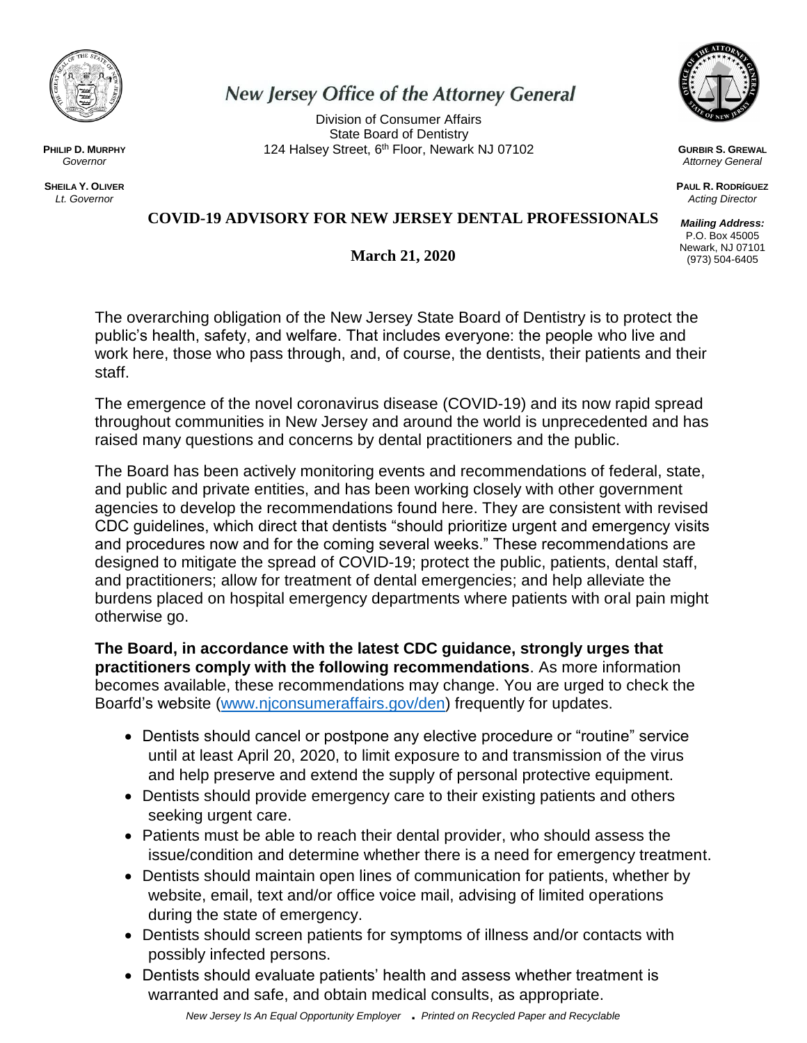

*Governor*

**SHEILA Y. OLIVER** *Lt. Governor*

# **New Jersey Office of the Attorney General**

Division of Consumer Affairs State Board of Dentistry **PHILIP D. MURPHY PHILIP D. MURPHY 124 Halsey Street, 6th Floor, Newark NJ 07102** 



**GURBIR S. GREWAL** *Attorney General*

**PAUL R. RODRÍGUEZ** *Acting Director*

*Mailing Address:* P.O. Box 45005 Newark, NJ 07101 (973) 504-6405

#### **COVID-19 ADVISORY FOR NEW JERSEY DENTAL PROFESSIONALS**

**March 21, 2020**

The overarching obligation of the New Jersey State Board of Dentistry is to protect the public's health, safety, and welfare. That includes everyone: the people who live and work here, those who pass through, and, of course, the dentists, their patients and their staff.

The emergence of the novel coronavirus disease (COVID-19) and its now rapid spread throughout communities in New Jersey and around the world is unprecedented and has raised many questions and concerns by dental practitioners and the public.

The Board has been actively monitoring events and recommendations of federal, state, and public and private entities, and has been working closely with other government agencies to develop the recommendations found here. They are consistent with revised CDC guidelines, which direct that dentists "should prioritize urgent and emergency visits and procedures now and for the coming several weeks." These recommendations are designed to mitigate the spread of COVID-19; protect the public, patients, dental staff, and practitioners; allow for treatment of dental emergencies; and help alleviate the burdens placed on hospital emergency departments where patients with oral pain might otherwise go.

**The Board, in accordance with the latest CDC guidance, strongly urges that practitioners comply with the following recommendations**. As more information becomes available, these recommendations may change. You are urged to check the Boarfd's website [\(www.njconsumeraffairs.gov/den\)](http://www.njconsumeraffairs.gov/den) frequently for updates.

- Dentists should cancel or postpone any elective procedure or "routine" service until at least April 20, 2020, to limit exposure to and transmission of the virus and help preserve and extend the supply of personal protective equipment.
- Dentists should provide emergency care to their existing patients and others seeking urgent care.
- Patients must be able to reach their dental provider, who should assess the issue/condition and determine whether there is a need for emergency treatment.
- Dentists should maintain open lines of communication for patients, whether by website, email, text and/or office voice mail, advising of limited operations during the state of emergency.
- Dentists should screen patients for symptoms of illness and/or contacts with possibly infected persons.
- Dentists should evaluate patients' health and assess whether treatment is warranted and safe, and obtain medical consults, as appropriate.